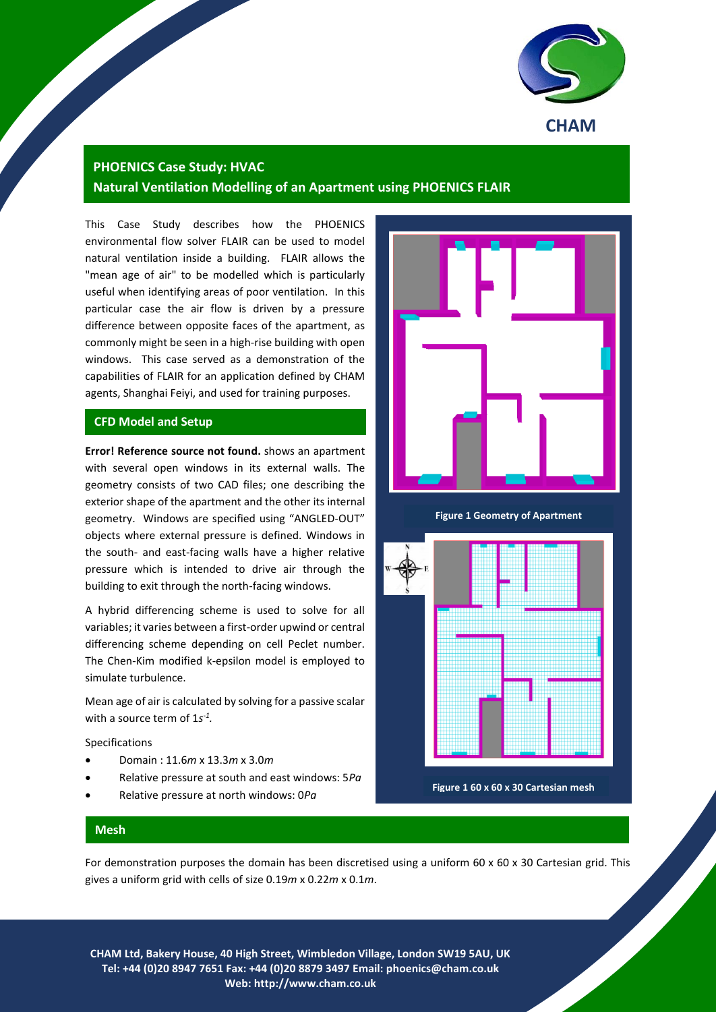

# **PHOENICS Case Study: HVAC**

**Natural Ventilation Modelling of an Apartment using PHOENICS FLAIR**

This Case Study describes how the PHOENICS environmental flow solver FLAIR can be used to model natural ventilation inside a building. FLAIR allows the "mean age of air" to be modelled which is particularly useful when identifying areas of poor ventilation. In this particular case the air flow is driven by a pressure difference between opposite faces of the apartment, as commonly might be seen in a high-rise building with open windows. This case served as a demonstration of the capabilities of FLAIR for an application defined by CHAM agents, Shanghai Feiyi, and used for training purposes.

### **CFD Model and Setup**

**Error! Reference source not found.** shows an apartment with several open windows in its external walls. The geometry consists of two CAD files; one describing the exterior shape of the apartment and the other its internal geometry. Windows are specified using "ANGLED-OUT" objects where external pressure is defined. Windows in the south- and east-facing walls have a higher relative pressure which is intended to drive air through the building to exit through the north-facing windows.

A hybrid differencing scheme is used to solve for all variables; it varies between a first-order upwind or central differencing scheme depending on cell Peclet number. The Chen-Kim modified k-epsilon model is employed to simulate turbulence.

Mean age of air is calculated by solving for a passive scalar with a source term of 1s<sup>-1</sup>.

Specifications

- Domain : 11.6*m* x 13.3*m* x 3.0*m*
- Relative pressure at south and east windows: 5*Pa*
- Relative pressure at north windows: 0*Pa*



**Figure 1 Geometry of Apartment**



**Figure 1 60 x 60 x 30 Cartesian mesh**

#### **Mesh**

For demonstration purposes the domain has been discretised using a uniform 60 x 60 x 30 Cartesian grid. This gives a uniform grid with cells of size 0.19*m* x 0.22*m* x 0.1*m*.

1 **CHAM Ltd, Bakery House, 40 High Street, Wimbledon Village, London SW19 5AU, UK Tel: +44 (0)20 8947 7651 Fax: +44 (0)20 8879 3497 Email: [phoenics@cham.co.uk](mailto:phoenics@cham.co.uk) Web: http://www.cham.co.uk**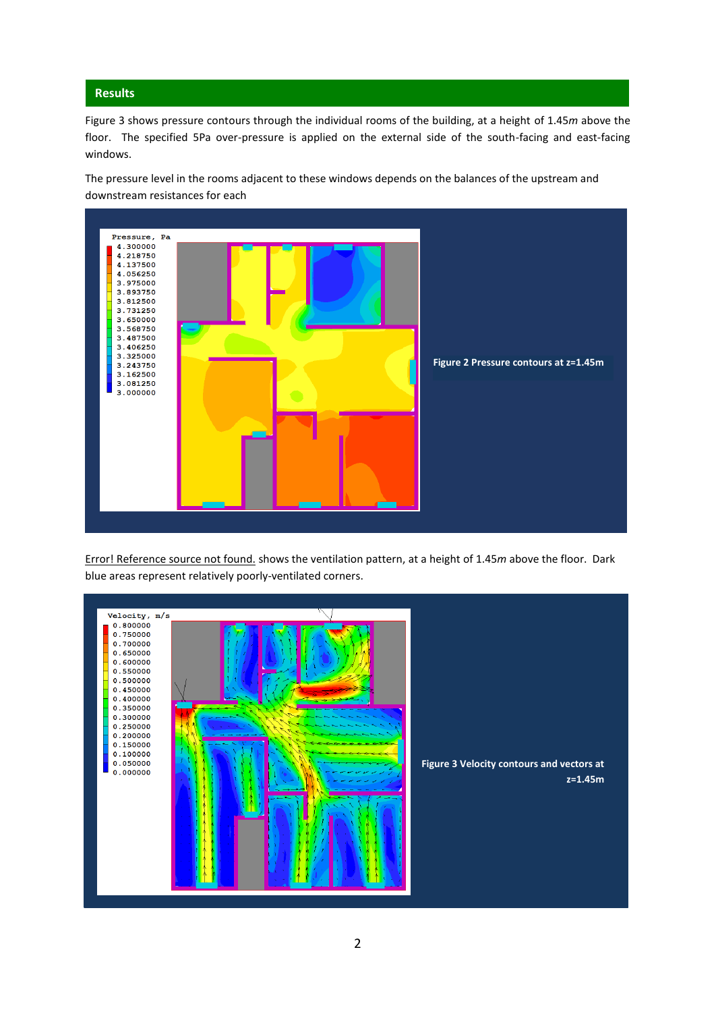# **Results**

Figure 3 shows pressure contours through the individual rooms of the building, at a height of 1.45*m* above the floor. The specified 5Pa over-pressure is applied on the external side of the south-facing and east-facing windows.

The pressure level in the rooms adjacent to these windows depends on the balances of the upstream and downstream resistances for each **room.**



Error! Reference source not found. shows the ventilation pattern, at a height of 1.45*m* above the floor. Dark blue areas represent relatively poorly-ventilated corners.